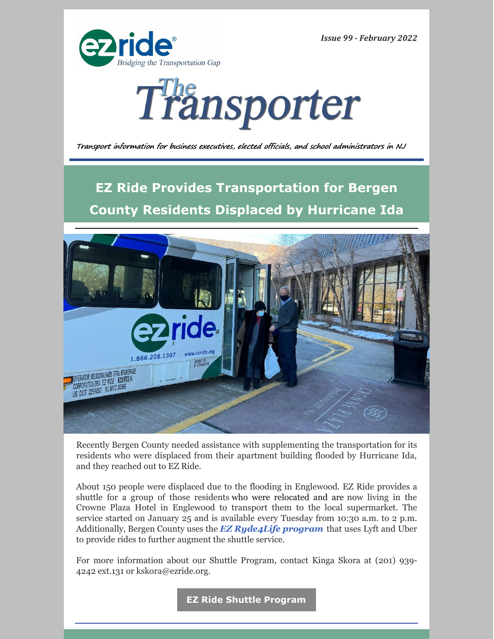*Issue 99 - February 2022*





Transport information for business executives, elected officials, and school administrators in NJ

**EZ Ride Provides Transportation for Bergen County Residents Displaced by Hurricane Ida**



Recently Bergen County needed assistance with supplementing the transportation for its residents who were displaced from their apartment building flooded by Hurricane Ida, and they reached out to EZ Ride.

About 150 people were displaced due to the flooding in Englewood. EZ Ride provides a shuttle for a group of those residents who were relocated and are now living in the Crowne Plaza Hotel in Englewood to transport them to the local supermarket. The service started on January 25 and is available every Tuesday from 10:30 a.m. to 2 p.m. Additionally, Bergen County uses the *EZ [Ryde4Life](http://www.ryde4life.org) program* that uses Lyft and Uber to provide rides to further augment the shuttle service.

For more information about our Shuttle Program, contact Kinga Skora at (201) 939- 4242 ext.131 or kskora@ezride.org.

**EZ Ride Shuttle [Program](https://ezride.org/transportation/shuttles/)**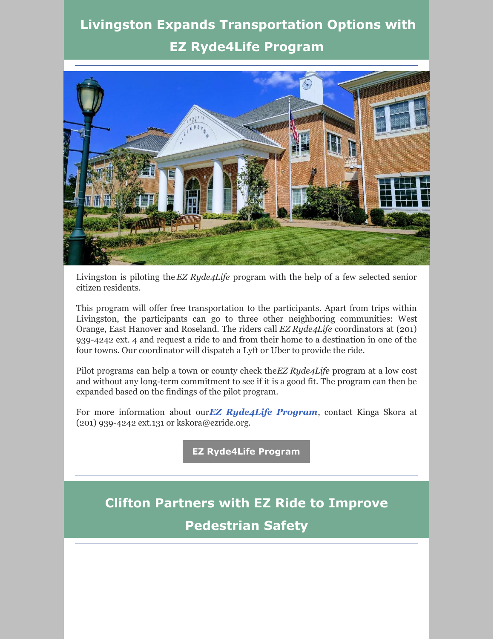# **Livingston Expands Transportation Options with EZ [Ryde4Life](https://ezride.org/transportation/senior-transportation/) Program**



Livingston is piloting the *EZ Ryde4Life* program with the help of a few selected senior citizen residents.

This program will offer free transportation to the participants. Apart from trips within Livingston, the participants can go to three other neighboring communities: West Orange, East Hanover and Roseland. The riders call *EZ Ryde4Life* coordinators at (201) 939-4242 ext. 4 and request a ride to and from their home to a destination in one of the four towns. Our coordinator will dispatch a Lyft or Uber to provide the ride.

Pilot programs can help a town or county check the*EZ Ryde4Life* program at a low cost and without any long-term commitment to see if it is a good fit. The program can then be expanded based on the findings of the pilot program.

For more information about our*EZ [Ryde4Life](http://www.ryde4life.org) Program*, contact Kinga Skora at (201) 939-4242 ext.131 or kskora@ezride.org.

**EZ [Ryde4Life](https://ezride.org/transportation/senior-transportation/) Program**

# **Clifton Partners with EZ Ride to Improve Pedestrian Safety**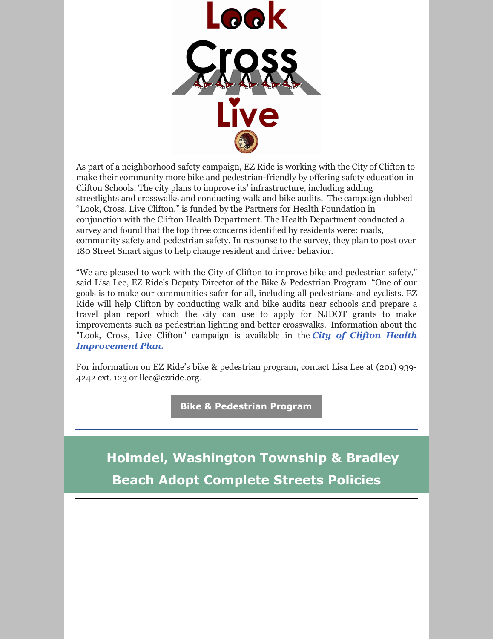

As part of a neighborhood safety campaign, EZ Ride is working with the City of Clifton to make their community more bike and pedestrian-friendly by offering safety education in Clifton Schools. The city plans to improve its' infrastructure, including adding streetlights and crosswalks and conducting walk and bike audits. The campaign dubbed "Look, Cross, Live Clifton," is funded by the Partners for Health Foundation in conjunction with the Clifton Health Department. The Health Department conducted a survey and found that the top three concerns identified by residents were: roads, community safety and pedestrian safety. In response to the survey, they plan to post over 180 Street Smart signs to help change resident and driver behavior.

"We are pleased to work with the City of Clifton to improve bike and pedestrian safety," said Lisa Lee, EZ Ride's Deputy Director of the Bike & Pedestrian Program. "One of our goals is to make our communities safer for all, including all pedestrians and cyclists. EZ Ride will help Clifton by conducting walk and bike audits near schools and prepare a travel plan report which the city can use to apply for NJDOT grants to make improvements such as pedestrian lighting and better crosswalks. Information about the "Look, Cross, Live Clifton" campaign is available in the *City of Clifton Health [Improvement](https://www.cliftonnj.org/DocumentCenter/View/15411/CHIP2019-23_Updated-9-10-2021) Plan.*

For information on EZ Ride's bike & pedestrian program, contact Lisa Lee at (201) 939- 4242 ext. 123 or [llee@ezride.org](mailto:llee@ezride.org).

**Bike & [Pedestrian](https://ezride.org/transportation/bikepedestrian-program/) Program**

**Holmdel, Washington Township & Bradley Beach Adopt Complete Streets Policies**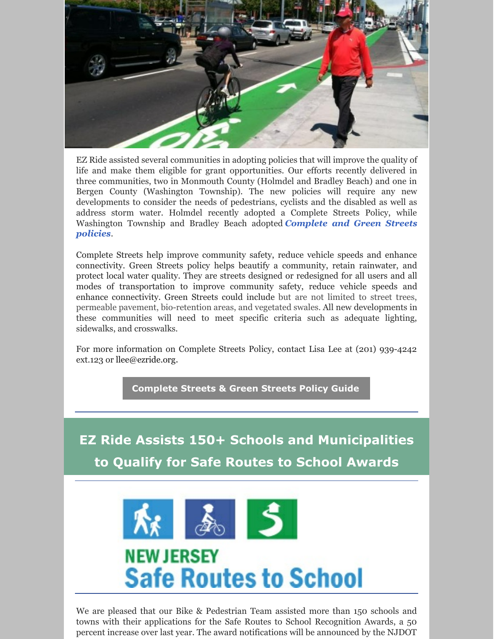

EZ Ride assisted several communities in adopting policies that will improve the quality of life and make them eligible for grant opportunities. Our efforts recently delivered in three communities, two in Monmouth County (Holmdel and Bradley Beach) and one in Bergen County (Washington Township). The new policies will require any new developments to consider the needs of pedestrians, cyclists and the disabled as well as address storm water. Holmdel recently adopted a Complete Streets Policy, while [Washington](https://www.saferoutesnj.org/complete-streets-in-new-jersey/) Township and Bradley Beach adopted *Complete and Green Streets policies*.

Complete Streets help improve community safety, reduce vehicle speeds and enhance connectivity. Green Streets policy helps beautify a community, retain rainwater, and protect local water quality. They are streets designed or redesigned for all users and all modes of transportation to improve community safety, reduce vehicle speeds and enhance connectivity. Green Streets could include but are not limited to street trees, permeable pavement, bio-retention areas, and vegetated swales. All new developments in these communities will need to meet specific criteria such as adequate lighting, sidewalks, and crosswalks.

For more information on Complete Streets Policy, contact Lisa Lee at (201) 939-4242 ext.123 or [llee@ezride.org](mailto:llee@ezride.org).

**[Complete](https://www.saferoutesnj.org/wp-content/uploads/2020/06/CS_Model_Policy_2020-R.pdf) Streets & Green Streets Policy Guide**

**EZ Ride Assists 150+ Schools and Municipalities to Qualify for Safe Routes to School Awards**



We are pleased that our Bike & Pedestrian Team assisted more than 150 schools and towns with their applications for the Safe Routes to School Recognition Awards, a 50 percent increase over last year. The award notifications will be announced by the NJDOT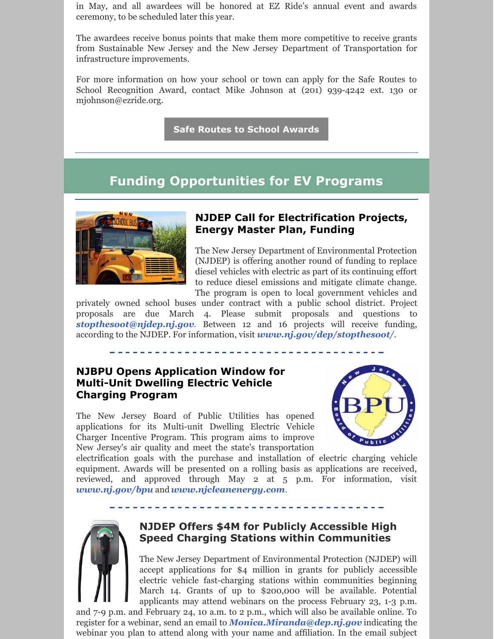in May, and all awardees will be honored at EZ Ride's annual event and awards ceremony, to be scheduled later this year.

The awardees receive bonus points that make them more competitive to receive grants from Sustainable New Jersey and the New Jersey Department of Transportation for infrastructure improvements.

For more information on how your school or town can apply for the Safe Routes to School Recognition Award, contact Mike Johnson at (201) 939-4242 ext. 130 or [mjohnson@ezride.org](mailto:mjohnson@ezride.org).

**Safe Routes to School [Awards](https://www.saferoutesnj.org/about-the-safe-routes-to-school-recognition-program/)**

### **Funding Opportunities for EV Programs**



#### **NJDEP Call for Electrification Projects, Energy Master Plan, Funding**

The New Jersey Department of Environmental Protection (NJDEP) is offering another round of funding to replace diesel vehicles with electric as part of its continuing effort to reduce diesel emissions and mitigate climate change. The program is open to local government vehicles and

privately owned school buses under contract with a public school district. Project proposals are due March 4. Please submit proposals and questions to *[stopthesoot@njdep.nj.gov](mailto:stopthesoot@njdep.nj.gov).* Between 12 and 16 projects will receive funding, according to the NJDEP. For information, visit *[www.nj.gov/dep/stopthesoot/](https://www.nj.gov/dep/stopthesoot/).*

### **NJBPU Opens Application Window for Multi-Unit Dwelling Electric Vehicle Charging Program**

The New Jersey Board of Public Utilities has opened applications for its Multi-unit Dwelling Electric Vehicle Charger Incentive Program. This program aims to improve New Jersey's air quality and meet the state's transportation



electrification goals with the purchase and installation of electric charging vehicle equipment. Awards will be presented on a rolling basis as applications are received, reviewed, and approved through May 2 at 5 p.m. For information, visit *[www.nj.gov/bpu](http://www.nj.gov/bpu)* and *[www.njcleanenergy.com](https://www.njcleanenergy.com/commercial-industrial/programs/community-energy-plans).*



#### **NJDEP Offers \$4M for Publicly Accessible High Speed Charging Stations within Communities**

The New Jersey Department of Environmental Protection (NJDEP) will accept applications for \$4 million in grants for publicly accessible electric vehicle fast-charging stations within communities beginning March 14. Grants of up to \$200,000 will be available. Potential applicants may attend webinars on the process February 23, 1-3 p.m.

and 7-9 p.m. and February 24, 10 a.m. to 2 p.m., which will also be available online. To register for a webinar, send an email to *[Monica.Miranda@dep.nj.gov](mailto:Monica.Miranda@dep.nj.gov)* indicating the webinar you plan to attend along with your name and affiliation. In the email subject